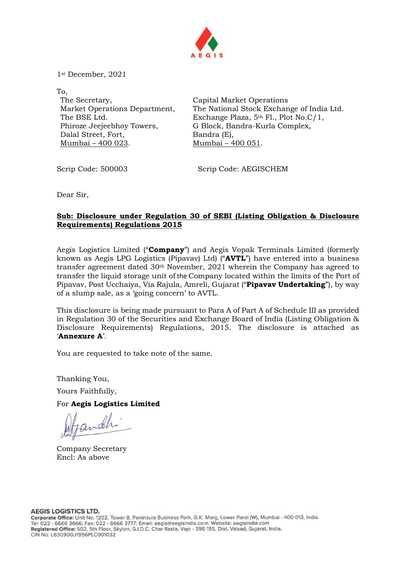

1st December, 2021

To, The Secretary, Market Operations Department, The BSE Ltd. Phiroze Jeejeebhoy Towers, Dalal Street, Fort, Mumbai – 400 023.

Capital Market Operations The National Stock Exchange of India Ltd. Exchange Plaza, 5th Fl., Plot No.C/1, G Block, Bandra-Kurla Complex, Bandra (E), Mumbai – 400 051.

Scrip Code: 500003 Scrip Code: AEGISCHEM

Dear Sir,

## Sub: Disclosure under Regulation 30 of SEBI (Listing Obligation & Disclosure Requirements) Regulations 2015

Aegis Logistics Limited ("**Company**") and Aegis Vopak Terminals Limited (formerly known as Aegis LPG Logistics (Pipavav) Ltd) ("AVTL") have entered into a business transfer agreement dated  $30<sup>th</sup>$  November, 2021 wherein the Company has agreed to transfer the liquid storage unit of the Company located within the limits of the Port of Pipavav, Post Ucchaiya, Via Rajula, Amreli, Gujarat ("Pipavav Undertaking"), by way of a slump sale, as a 'going concern' to AVTL.

This disclosure is being made pursuant to Para A of Part A of Schedule III as provided in Regulation 30 of the Securities and Exchange Board of India (Listing Obligation & Disclosure Requirements) Regulations, 2015. The disclosure is attached as 'Annexure A'.

You are requested to take note of the same.

Thanking You,

Yours Faithfully,

For Aegis Logistics Limited

Company Secretary Encl: As above

**AEGIS LOGISTICS LTD.**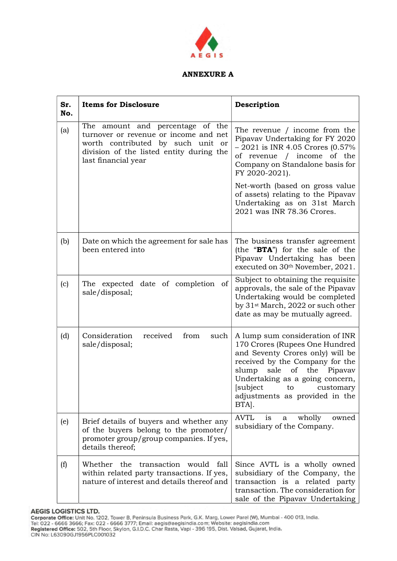

## ANNEXURE A

| Sr.<br>No. | <b>Items for Disclosure</b>                                                                                                                                                       | Description                                                                                                                                                                                                                                                                             |
|------------|-----------------------------------------------------------------------------------------------------------------------------------------------------------------------------------|-----------------------------------------------------------------------------------------------------------------------------------------------------------------------------------------------------------------------------------------------------------------------------------------|
| (a)        | The amount and percentage of the<br>turnover or revenue or income and net<br>worth contributed by such unit or<br>division of the listed entity during the<br>last financial year | The revenue / income from the<br>Pipavav Undertaking for FY 2020<br>$-2021$ is INR 4.05 Crores $(0.57\%$<br>of revenue / income of the<br>Company on Standalone basis for<br>FY 2020-2021).                                                                                             |
|            |                                                                                                                                                                                   | Net-worth (based on gross value<br>of assets) relating to the Pipavav<br>Undertaking as on 31st March<br>2021 was INR 78.36 Crores.                                                                                                                                                     |
| (b)        | Date on which the agreement for sale has<br>been entered into                                                                                                                     | The business transfer agreement<br>(the "BTA") for the sale of the<br>Pipavav Undertaking has been<br>executed on 30th November, 2021.                                                                                                                                                  |
| (c)        | The expected date of completion of<br>sale/disposal;                                                                                                                              | Subject to obtaining the requisite<br>approvals, the sale of the Pipavav<br>Undertaking would be completed<br>by 31 <sup>st</sup> March, 2022 or such other<br>date as may be mutually agreed.                                                                                          |
| (d)        | Consideration<br>received<br>from<br>such<br>sale/disposal;                                                                                                                       | A lump sum consideration of INR<br>170 Crores (Rupees One Hundred<br>and Seventy Crores only) will be<br>received by the Company for the<br>slump<br>sale<br>of the<br>Pipavav<br>Undertaking as a going concern,<br>[subject to<br>customary<br>adjustments as provided in the<br>BTA. |
| (e)        | Brief details of buyers and whether any<br>of the buyers belong to the promoter/<br>promoter group/group companies. If yes,<br>details thereof;                                   | <b>AVTL</b><br>wholly<br>owned<br>1S<br>a<br>subsidiary of the Company.                                                                                                                                                                                                                 |
| (f)        | Whether the transaction<br>would<br>fall<br>within related party transactions. If yes,<br>nature of interest and details thereof and                                              | Since AVTL is a wholly owned<br>subsidiary of the Company, the<br>transaction is a related party<br>transaction. The consideration for<br>sale of the Pipavav Undertaking                                                                                                               |

AEGIS LOGISTICS LTD.<br>Corporate Office: Unit No. 1202, Tower B, Peninsula Business Park, G.K. Marg, Lower Parel (W), Mumbai - 400 013, India.<br>Tel: 022 - 6666 3666; Fax: 022 - 6666 3777; Email: aegis@aegisindia.com; Website: